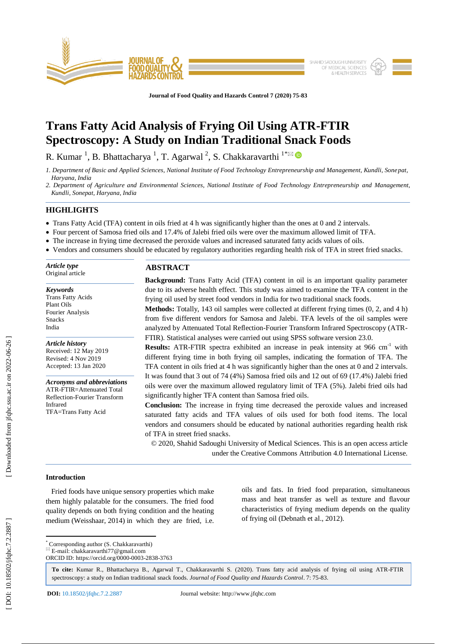

**Journal of Food Quality and Hazards Control 7 (2020) 75 -83**

# **Trans Fatty Acid Analysis of Frying Oil Using ATR -FTIR Spectroscopy: A Study on Indian Traditional Snack Foods**

R. Kumar  $^1$ , B. Bhattacharya  $^1$ , T. Agarwal  $^2$ , S. Chakkaravarthi  $^{1*}$ 

- *1. Department of Basic and Applied Sciences, National Institute of Food Technology Entrepreneurship and Management, Kundli, Sonepat, Haryana, India*
- *2. Department of Agriculture and Environmental Sciences, National Institute of Food Technology Entrepreneurship and Management, Kundli, Sonepat, Haryana, India*

## **HIGHLIGHTS**

*Keywords* Trans Fatty Acids Plant Oils Fourier Analysis Snacks India

*Article history* Received: 12 May 2019 Revised: 4 Nov 2019 Accepted: 13 Jan 2020

Infrared

*Acronyms and abbreviations* ATR -FTIR=Attenuated Total Reflection -Fourier Transform

TFA=Trans Fatty Acid

- Trans Fatty Acid (TFA) content in oils fried at 4 h was significantly higher than the ones at 0 and 2 intervals.
- Four percent of Samosa fried oils and 17.4% of Jalebi fried oils were over the maximum allowed limit of TFA.
- The increase in frying time decreased the peroxide values and increased saturated fatty acids values of oils.
- Vendors and consumers should be educated by regulatory authorities regarding health risk of TFA in street fried snacks.

| Article type     | <b>ABST</b> |
|------------------|-------------|
| Original article |             |

# **RACT**

**Background:** Trans Fatty Acid (TFA) content in oil is an important quality parameter due to its adverse health effect. This study was aimed to examine the TFA content in the frying oil used by street food vendors in India for two traditional snack foods.

**Methods:** Totally, 143 oil samples were collected at different frying times (0, 2, and 4 h) from five different vendors for Samosa and Jalebi. TFA levels of the oil samples were analyzed by Attenuated Total Reflection -Fourier Transform Infrared Spectroscopy (ATR - FTIR). Statistical analyses were carried out using SPSS software version 23.0.

**Results:** ATR-FTIR spectra exhibited an increase in peak intensity at 966 cm<sup>-1</sup> with different frying time in both frying oil samples, indicating the formation of TFA. The TFA content in oils fried at 4 h was significantly higher than the ones at 0 and 2 intervals. It was found that 3 out of 74 (4%) Samosa fried oils and 12 out of 69 (17.4%) Jalebi fried oils were over the maximum allowed regulatory limit of TFA (5%). Jalebi fried oils had significantly higher TFA content than Samosa fried oils.

**Conclusion:** The increase in frying time decreased the peroxide values and increased saturated fatty acids and TFA values of oils used for both food items. The local vendors and consumers should be educated by national authorities regarding health risk of TFA in street fried snacks.

© 2020, Shahid Sadoughi University of Medical Sciences. This is an open access article under the Creative Commons Attribution 4.0 International License.

# **Introduction**

 Fried foods have unique sensory properties which make them highly palatable for the consumers. The fried food quality depends on both frying condition and the heating medium (Weisshaar, 2014) in which they are fried, i.e. oils and fats. In fried food preparation, simultaneous mass and heat transfer as well as texture and flavour characteristics of frying medium depends on the quality of frying oil (Debnath et al., 2012) .

\* Corresponding author (S. Chakkaravarthi)

 $E = E$ -mail: chakkaravarthi77@gmail.com

ORCID ID: https://orcid.org/0000 -0003 -2838 -3763

**To cite:** Kumar R., Bhattacharya B., Agarwal T., Chakkaravarthi S. (2020). Trans fatty acid analysis of frying oil using ATR -FTIR spectroscopy: a study on Indian traditional snack foods. Journal of Food Quality and Hazards Control. 7: 75-83.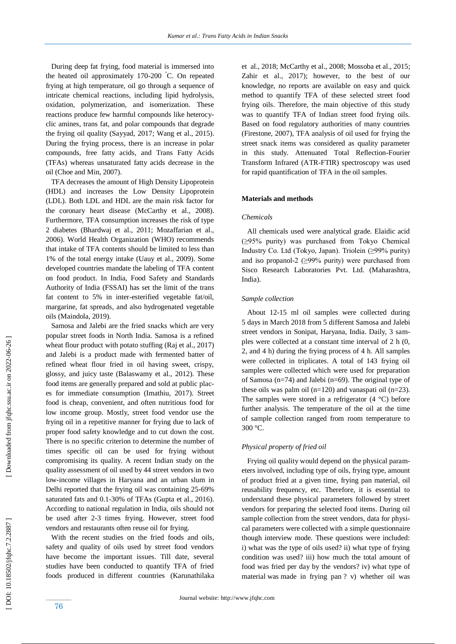During deep fat frying, food material is immersed into the heated oil approximately 170 -200 °C. On repeated frying at high temperature, oil go through a sequence of intricate chemical reactions, including lipid hydrolysis, oxidation, polymerization, and isomerization. These reactions produce few harmful compounds like heterocyclic amines, trans fat, and polar compounds that degrade the frying oil quality (Sayyad, 2017; Wang et al., 2015). During the frying process , there is an increase in polar compounds, free fatty acids, and Trans Fatty Acids (TFAs) whereas unsaturated fatty acids decrease in the oil (Choe and Min, 2007).

 TFA decreases the amount of High Density Lipoprotein (HDL) and increase s the Low Density Lipoprotein (LDL). Both LDL and HDL are the main risk factor for the coronary heart disease (McCarthy et al., 2008). Furthermore, TFA consumption increases the risk of type 2 diabetes (Bhardwaj et al., 2011; Mozaffarian et al., 2006). World Health Organization (WHO) recommends that intake of TFA contents should be limited to less than 1% of the total energy intake (Uauy et al., 2009). Some developed countries mandate the labeling of TFA content on food product. In India, Food Safety and Standards Authority of India (FSSAI) has set the limit of the trans fat content to 5% in inter -esterified vegetable fat/oil, margarine, fat spreads , and also hydrogenated vegetable oils (Maindola, 2019) .

 Samosa and Jalebi are the fried snacks which are very popular street foods in North India. Samosa is a refined wheat flour product with potato stuffing (Raj et al., 2017) and Jalebi is a product made with fermented batter of refined wheat flour fried in oil having sweet, crispy, glossy, and juicy taste (Balaswamy et al., 2012). These food items are generally prepared and sold at public places for immediate consumption (Imathiu, 2017). Street food is cheap, convenient, and often nutritious food for low income group. Mostly, street food vendor use the frying oil in a repetitive manner for frying due to lack of proper food safety knowledge and to cut down the cost. There is no specific criterion to determine the number of times specific oil can be used for frying without compromising its quality. A recent Indian study on the quality assessment of oil used by 44 street vendors in two low -income villages in Haryana and an urban slum in Delhi reported that the frying oil was containing 25 -69% saturated fats and 0.1 -30% of TFAs (Gupta et al., 2016). According to national regulation in India, oils should not be used after 2 -3 times frying. However, street food vendors and restaurants often reuse oil for frying.

 With the recent studies on the fried foods and oils, safety and quality of oils used by street food vendors have become the important issue s. Till date, several studies have been conducted to quantify TFA of fried foods produced in different countries (Karunathilaka

et al., 2018; McCarthy et al., 2008; Mossoba et al., 2015; Zahir et al., 2017); however, to the best of our knowledge, no reports are available on easy and quick method to quantify TFA of these selected street food frying oils. Therefore, the main objective of this study was to quantify TFA of Indian street food frying oils. Based on food regulatory authorities of many countries (Firestone, 2007), TFA analysis of oil used for frying the street snack items was considered as quality parameter in this study. Attenuated Total Reflection -Fourier Transform Infrared (ATR -FTIR) spectroscopy was used for rapid quantification of TFA in the oil samples.

### **Materials and methods**

### *Chemicals*

 All chemicals used were analytical grade. Elaidic acid (≥95% purity) was purchased from Tokyo Chemical Industry Co. Ltd (Tokyo, Japan). Triolein (≥99% purity) and iso propanol-2  $(\geq)9\%$  purity) were purchased from Sisco Research Laboratories Pvt. Ltd. (Maharashtra, India).

### *Sample collection*

 About 12 -15 ml oil samples were collected during 5 days in March 2018 from 5 different Samosa and Jalebi street vendors in Sonipat, Haryana, India. Daily, 3 samples were collected at a constant time interval of 2 h (0, 2, and 4 h) during the frying process of 4 h. All samples were collected in triplicates. A total of 143 frying oil samples were collected which were used for preparation of Samosa (n=74) and Jalebi (n=69). The original type of these oils was palm oil  $(n=120)$  and vanaspati oil  $(n=23)$ . The samples were stored in a refrigerator  $(4 \degree C)$  before further analysis. The temperature of the oil at the time of sample collection ranged from room temperature to 300 °C.

## *Physical property of fried oil*

 Frying oil quality would depend on the physical parameters involved, including type of oils, frying type, amount of product fried at a given time, frying pan material, oil reusability frequency, etc. Therefore, it is essential to understand these physical parameters followed by street vendors for preparing the selected food items. During oil sample collection from the street vendors, data for physical parameters were collected with a simple questionnaire though interview mode. These questions were included: i) what was the type of oils used? ii) what type of frying condition was used? iii) how much the total amount of food was fried per day by the vendors? iv) what type of material was made in frying pan ? v) whether oil was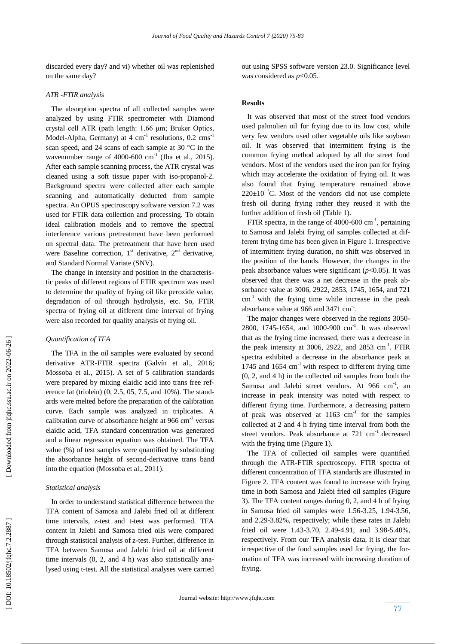discarded every day? and vi) whether oil was replenished on the same day?

### *ATR -FTIR analysis*

 The absorption spectra of all collected samples were analyzed by using FTIR spectrometer with Diamond crystal cell ATR (path length: 1.66 μm; Bruker Optics, Model-Alpha, Germany) at 4 cm<sup>-1</sup> resolutions, 0.2 cms<sup>-1</sup> scan speed, and 24 scans of each sample at 30 °C in the wavenumber range of  $4000-600$  cm<sup>-1</sup> (Jha et al., 2015). After each sample scanning process, the ATR crystal was cleaned using a soft tissue paper with iso -propanol -2. Background spectra were collected after each sample scanning and automatically deducted from sample spectra. An OPUS spectroscopy software version 7.2 was used for FTIR data collection and processing. To obtain ideal calibration models and to remove the spectral interference various pretreatment have been performed on spectral data. The pretreatment that have been used were Baseline correction,  $1<sup>st</sup>$  derivative,  $2<sup>nd</sup>$  derivative, and Standard Normal Variate (SNV).

 The change in intensity and position in the characteristic peaks of different regions of FTIR spectrum was used to determine the quality of frying oil like peroxide value, degradation of oil through hydrolysis, etc. So, FTIR spectra of frying oil at different time interval of frying were also recorded for quality analysis of frying oil.

# *Quantification of TFA*

The TFA in the oil samples were evaluated by second derivative ATR -FTIR spectra (Galvín et al., 2016; Mossoba et al., 2015). A set of 5 calibration standards were prepared by mixing elaidic acid into trans free reference fat (triolein) (0, 2.5, 05, 7.5, and 10%). The standards were melted before the preparation of the calibration curve. Each sample was analyzed in triplicates. A calibration curve of absorbance height at  $966 \text{ cm}^{-1}$  versus elaidic acid, TFA standard concentration was generated and a linear regression equation was obtained. The TFA value (%) of test samples were quantified by substituting the absorbance height of second -derivative trans band into the equation (Mossoba et al., 2011).

### *Statistical analysis*

 In order to understand statistical difference between the TFA content of Samosa and Jalebi fried oil at different time intervals, z -test and t -test was performed. TFA content in Jalebi and Samosa fried oils were compared through statistical analysis of z -test. Further, difference in TFA between Samosa and Jalebi fried oil at different time intervals (0, 2, and 4 h) was also statistically analysed using t-test. All the statistical analyses were carried

out using SPSS software version 23.0. Significance level was considered as  $p<0.05$ .

#### **Results**

 It was observed that most of the street food vendors used palmolien oil for frying due to its low cost, while very few vendors used other vegetable oils like soybean oil. It was observed that intermittent frying is the common frying method adopted by all the street food vendors. Most of the vendors used the iron pan for frying which may accelerate the oxidation of frying oil. It was also found that frying temperature remained above  $220 \pm 10$  °C. Most of the vendors did not use complete fresh oil during frying rather they reused it with the further addition of fresh oil (Table 1).

FTIR spectra, in the range of 4000-600  $\text{cm}^{-1}$ , pertaining to Samosa and Jalebi frying oil samples collected at different frying time has been given in Figure 1. Irrespective of intermittent frying duration , no shift was observed in the position of the bands. However, the changes in the peak absorbance values were significant (*p*<0.05). It was observed that there was a net decrease in the peak absorbance value at 3006, 2922, 2853, 1745, 1654, and 721  $cm<sup>-1</sup>$  with the frying time while increase in the peak absorbance value at 966 and  $3471 \text{ cm}^{-1}$ .

The major changes were observed in the regions 3050-2800, 1745 -1654, and 1000 -900 cm - 1 . It was observed that as the frying time increased, there was a decrease in the peak intensity at  $3006$ ,  $2922$ , and  $2853 \text{ cm}^{-1}$ . FTIR spectra exhibited a decrease in the absorbance peak at 1745 and 1654 cm<sup>-1</sup> with respect to different frying time (0, 2, and 4 h) in the collected oil samples from both the Samosa and Jalebi street vendors. At 966 cm<sup>-1</sup>, an increase in peak intensity was noted with respect to different frying time. Furthermore, a decreasing pattern of peak was observed at  $1163$  cm<sup>-1</sup> for the samples collected at 2 and 4 h frying time interval from both the street vendors. Peak absorbance at 721 cm<sup>-1</sup> decreased with the frying time (Figure 1).

 The TFA of collected oil samples were quantified through the ATR -FTIR spectroscopy. FTIR spectra of different concentration of TFA standards are illustrated in Figure 2. TFA content was found to increase with frying time in both Samosa and Jalebi fried oil samples (Figure 3). The TFA content ranges during 0, 2, and 4 h of frying in Samosa fried oil samples were 1.56 -3.25, 1.94 -3.56, and 2.29 -3.82%, respectively; while these rates in Jalebi fried oil were 1.43-3.70, 2.49-4.91, and 3.98-5.40%, respectively. From our TFA analysis data, it is clear that irrespective of the food samples used for frying, the formation of TFA was increased with increasing duration of frying.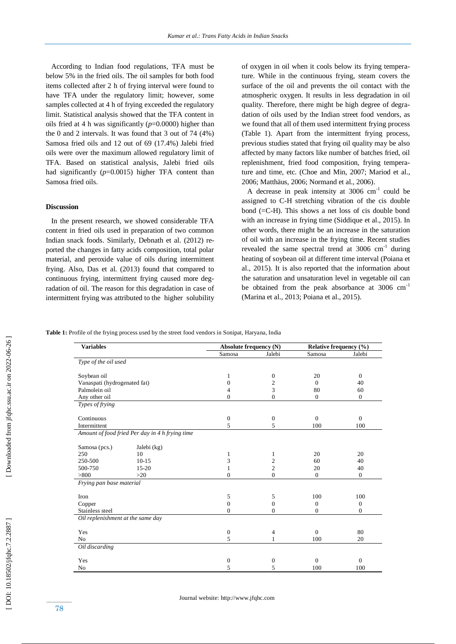According to Indian food regulations, TFA must be below 5% in the fried oils. The oil samples for both food items collected after 2 h of frying interval were found to have TFA under the regulatory limit; however, some samples collected at 4 h of frying exceeded the regulatory limit. Statistical analysis showed that the TFA content in oils fried at 4 h was significantly (*p*=0.0000) higher than the 0 and 2 intervals. It was found that 3 out of 74 (4%) Samosa fried oils and 12 out of 69 (17.4%) Jalebi fried oils were over the maximum allowed regulatory limit of TFA. Based on statistical analysis, Jalebi fried oils had significantly (*p*=0.0015) higher TFA content than Samosa fried oils.

### **Discussion**

 In the present research, we showed considerable TFA content in fried oils used in preparation of two common Indian snack foods. Similarly, Debnath et al. (2012) reported the changes in fatty acids composition, total polar material, and peroxide value of oils during intermittent frying. Also, Das et al. (2013) found that compared to continuous frying, intermittent frying caused more degradation of oil. The reason for this degradation in case of intermittent frying was attributed to the higher solubility of oxygen in oil when it cools below its frying temperature. While in the continuous frying, steam covers the surface of the oil and prevents the oil contact with the atmospheric oxygen. It results in less degradation in oil quality. Therefore, there might be high degree of degradation of oils used by the Indian street food vendors, as we found that all of them used intermittent frying process (Table 1). Apart from the intermittent frying process, previous studies stated that frying oil quality may be also affected by many factors like number of batches fried, oil replenishment, fried food composition, frying temperature and time, etc. (Choe and Min, 2007; Mariod et al., 2006; Matthäus, 2006; Normand et al., 2006) .

A decrease in peak intensity at  $3006 \text{ cm}^{-1}$  could be assigned to C -H stretching vibration of the cis double bond (=C -H). This shows a net loss of cis double bond with an increase in frying time (Siddique et al., 2015). In other words, there might be an increase in the saturation of oil with an increase in the frying time. Recent studies revealed the same spectral trend at  $3006 \text{ cm}^{-1}$  during hea ting of soybean oil at different time interval (Poiana et al., 2015). It is also reported that the information about the saturation and unsaturation level in vegetable oil can be obtained from the peak absorbance at  $3006 \text{ cm}^{-1}$ (Marina et al., 2013; Poiana et al., 2015).

**Table 1:** Profile of the frying process used by the street food vendors in Sonipat, Haryana, India

| <b>Variables</b>                  |                                                   | Absolute frequency (N) |                  | Relative frequency (%) |          |
|-----------------------------------|---------------------------------------------------|------------------------|------------------|------------------------|----------|
|                                   |                                                   | Samosa                 | Jalebi           | Samosa                 | Jalebi   |
| Type of the oil used              |                                                   |                        |                  |                        |          |
| Soybean oil                       |                                                   | 1                      | $\boldsymbol{0}$ | 20                     | $\Omega$ |
| Vanaspati (hydrogenated fat)      |                                                   | $\Omega$               | $\overline{c}$   | $\Omega$               | 40       |
| Palmolein oil                     |                                                   | 4                      | 3                | 80                     | 60       |
| Any other oil                     |                                                   | $\mathbf{0}$           | $\mathbf{0}$     | $\Omega$               | $\Omega$ |
| Types of frying                   |                                                   |                        |                  |                        |          |
| Continuous                        |                                                   | $\mathbf{0}$           | $\boldsymbol{0}$ | $\Omega$               | $\Omega$ |
| Intermittent                      |                                                   | 5                      | 5                | 100                    | 100      |
|                                   | Amount of food fried Per day in 4 $h$ frying time |                        |                  |                        |          |
| Samosa (pcs.)                     | Jalebi (kg)                                       |                        |                  |                        |          |
| 250                               | 10                                                |                        | 1                | 20                     | 20       |
| 250-500                           | $10-15$                                           | 3                      | 2                | 60                     | 40       |
| 500-750                           | $15 - 20$                                         | 1                      | 2                | 20                     | 40       |
| > 800                             | $>20$                                             | $\Omega$               | $\overline{0}$   | $\mathbf{0}$           | $\theta$ |
| Frying pan base material          |                                                   |                        |                  |                        |          |
| Iron                              |                                                   | 5                      | 5                | 100                    | 100      |
| Copper                            |                                                   | $\Omega$               | $\Omega$         | $\Omega$               | $\Omega$ |
| Stainless steel                   |                                                   | $\overline{0}$         | $\theta$         | $\mathbf{0}$           | $\theta$ |
| Oil replenishment at the same day |                                                   |                        |                  |                        |          |
| Yes                               |                                                   | $\boldsymbol{0}$       | 4                | $\Omega$               | 80       |
| N <sub>o</sub>                    |                                                   | 5                      | 1                | 100                    | 20       |
| Oil discarding                    |                                                   |                        |                  |                        |          |
| Yes                               |                                                   | $\boldsymbol{0}$       | 0                | $\Omega$               | $\Omega$ |
| N <sub>o</sub>                    |                                                   | 5                      | 5                | 100                    | 100      |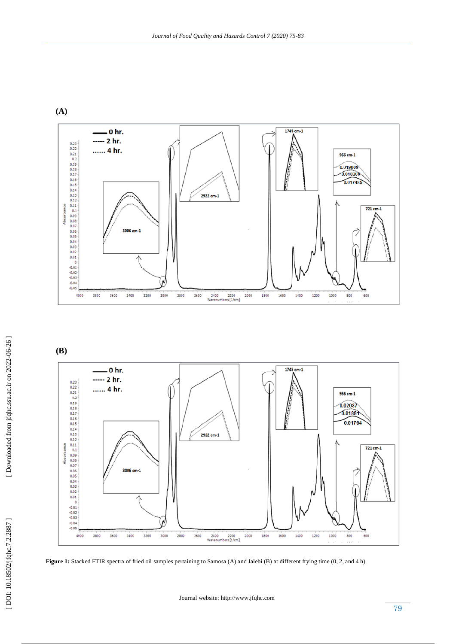







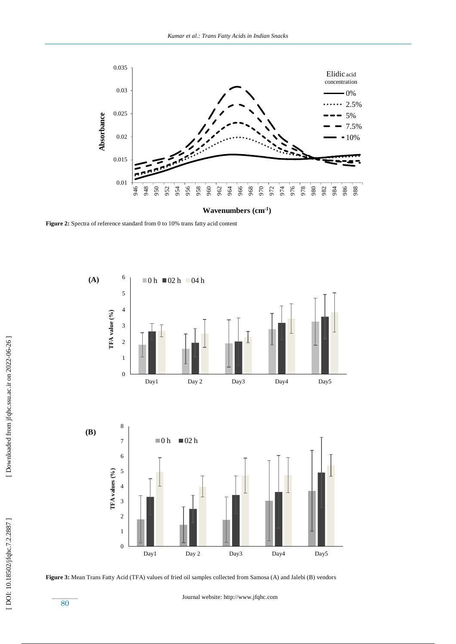









 [\[ DOI: 10.18502/jfqhc.7.2.2887 \]](http://dx.doi.org/10.18502/jfqhc.7.2.2887) [\[ Downloaded from jfqhc.ssu.ac.ir on 2022](http://jfqhc.ssu.ac.ir/article-1-592-en.html)-06-26 ]

[DOI: 10.18502/jfqhc.7.2.2887]

[Downloaded from jfqhc.ssu.ac.ir on 2022-06-26]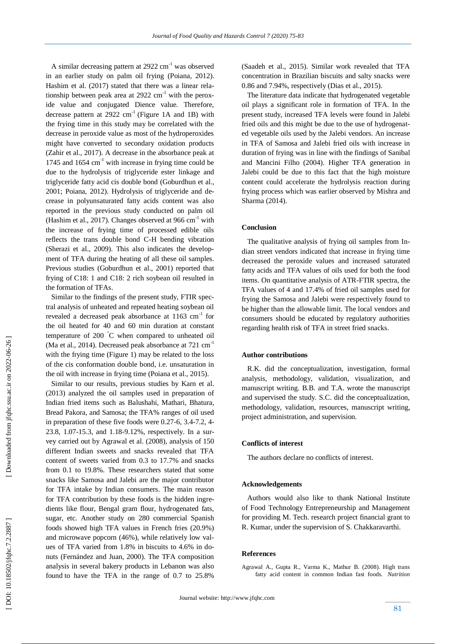A similar decreasing pattern at 2922 cm<sup>-1</sup> was observed in an earlier study on palm oil frying (Poiana, 2012). Hashim et al. (2017) stated that there was a linear relationship between peak area at  $2922 \text{ cm}^{-1}$  with the peroxide value and conjugated Dience value. Therefore, decrease pattern at  $2922 \text{ cm}^{-1}$  (Figure 1A and 1B) with the frying time in this study may be correlated with the decrease in peroxide value as most of the hydroperoxides might have converted to secondary oxidation products (Zahir et al., 2017). A decrease in the absorbance peak at 1745 and 1654 cm<sup>-1</sup> with increase in frying time could be due to the hydrolysis of triglyceride ester linkage and triglyceride fatty acid cis double bond (Goburdhun et al., 2001; Poiana, 2012). Hydrolysis of triglyceride and decrease in polyunsaturated fatty acids content was also reported in the previous study conducted on palm oil (Hashim et al., 2017). Changes observed at 966 cm<sup>-1</sup> with the increase of frying time of processed edible oils reflects the trans double bond C -H bending vibration (Sherazi et al., 2009). This also indicates the development of TFA during the heating of all these oil samples. Previous studies (Goburdhun et al., 2001) reported that frying of C18: 1 and C18: 2 rich soybean oil resulted in the formation of TFAs.

 Similar to the findings of the present study, FTIR spectral analysis of unheated and repeated heating soybean oil revealed a decreased peak absorbance at  $1163 \text{ cm}^{-1}$  for the oil heated for 40 and 60 min duration at constant temperature of 200 °C when compared to unheated oil (Ma et al., 2014). Decreased peak absorbance at 721 cm<sup>-1</sup> with the frying time (Figure 1) may be related to the loss of the cis conformation double bond, i.e. unsaturation in the oil with increase in frying time (Poiana et al., 2015).

 Similar to our results, previous studies by Karn et al. (2013) analyzed the oil samples used in preparation of Indian fried items such as Balushahi, Mathari, Bhatura, Bread Pakora, and Samosa; the TFA% ranges of oil used in preparation of these five foods were 0.27-6, 3.4-7.2, 4-23.8, 1.07 -15.3, and 1.18 -9.12%, respectively. In a survey carried out by Agrawal et al. (2008), analysis of 150 different Indian sweets and snacks revealed that TFA content of sweets varied from 0.3 to 17.7% and snacks from 0.1 to 19.8%. These researchers stated that some snacks like Samosa and Jalebi are the major contributor for TFA intake by Indian consumers. The main reason for TFA contribution by these foods is the hidden ingredients like flour, Bengal gram flour, hydrogenated fats, sugar, etc. Another study on 280 commercial Spanish foods showed high TFA values in French fries (20.9%) and microwave popcorn (46%), while relatively low values of TFA varied from 1.8% in biscuits to 4.6% in donuts (Fernández and Juan, 2000). The TFA composition analysis in several bakery products in Lebanon was also found to have the TFA in the range of 0.7 to 25.8%

(Saadeh et al., 2015). Similar work revealed that TFA concentration in Brazilian biscuits and salty snacks were 0.86 and 7.94%, respectively (Dias et al., 2015).

 The literature data indicate that hydrogenated vegetable oil play s a significant role in formation of TFA. In the present study, increased TFA levels were found in Jalebi fried oils and this might be due to the use of hydrogenated vegetable oils used by the Jalebi vendors. An increase in TFA of Samosa and Jalebi fried oils with increase in duration of frying was in line with the findings of Sanibal and Mancini Filho (2004). Higher TFA generation in Jalebi could be due to this fact that the high moisture content could accelerate the hydrolysis reaction during frying process which was earlier observed by Mishra and Sharma (2014).

### **Conclusion**

 The qualitative analysis of frying oil samples from Indian street vendors indicated that increase in frying time decreased the peroxide values and increased saturated fatty acids and TFA values of oils used for both the food items. On quantitative analysis of ATR -FTIR spectra, the TFA values of 4 and 17.4% of fried oil samples used for frying the Samosa and Jalebi were respectively found to be higher than the allowable limit. The local vendors and consumers should be educated by regulatory authorities regarding health risk of TFA in street fried snacks.

# **Author contributions**

 R.K. did the conceptualization, investigation, formal analysis, methodology, validation, visualization, and manuscript writing. B.B. and T.A. wrote the manuscript and supervised the study. S.C. did the conceptualization, methodology, validation, resources, manuscript writing, project administration, and supervision.

#### **Conflicts of interest**

The authors declare no conflicts of interest.

#### **Acknowledgements**

 Authors would also like to thank National Institute of Food Technology Entrepreneurship and Management for providing M. Tech. research project financial grant to R. Kumar, under the supervision of S. Chakkaravarthi.

#### **Reference s**

Agrawal A., Gupta R., Varma K., Mathur B. (2008). High trans fatty acid content in common Indian fast foods. *Nutrition*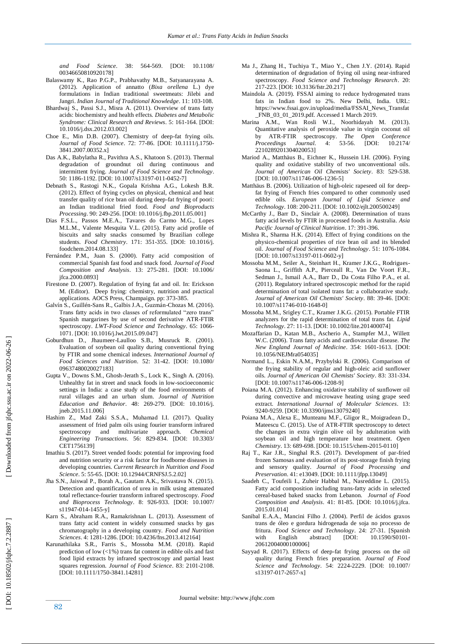*and Food Science*. 38: 564 -569. [DOI: 10.1108/ 00346650810920178]

- Balaswamy K., Rao P.G.P., Prabhavathy M.B., Satyanarayana A. (2012). Application of annatto (*Bixa orellena* L.) dye formulations in Indian traditional sweetmeats: Jilebi and Jangri. *Indian Journal of Traditional Knowledge*. 11: 103 -108.
- Bhardwaj S., Passi S.J., Misra A. (2011). Overview of trans fatty acids: biochemistry and health effects. *Diabetes and Metabolic Syndrome: Clinical Research and Reviews*. 5: 161 -164. [DOI: 10.1016/j.dsx.2012.03.002]
- Choe E., Min D.B. (2007). Chemistry of deep -fat frying oils. *Journal of Food Science*. 72: 77 -86. [DOI: 10.1111/j.1750 - 3841.2007.00352.x]
- Das A.K., Babylatha R., Pavithra A.S., Khatoon S. (2013). Thermal degradation of groundnut oil during continuous and intermittent frying. *Journal of Food Science and Technology*. 50: 1186 -1192. [DOI: 10.1007/s13197 -011 -0452 -7]
- Debnath S., Rastogi N.K., Gopala Krishna A.G., Lokesh B.R. (2012). Effect of frying cycles on physical, chemical and heat transfer quality of rice bran oil during deep -fat frying of poori: an Indian traditional fried food. *Food and Bioproducts Processing*. 90: 249 -256. [DOI: 10.1016/j.fbp.2011.05.001]
- Dias F.S.L., Passos M.E.A., Tavares do Carmo M.G., Lopes M.L.M., Valente Mesquita V.L. (2015). Fatty acid profile of biscuits and salty snacks consumed by Brazilian college students. *Food Chemistry*. 171: 351 -355. [DOI: 10.1016/j. foodchem.2014.08.133]
- Fernández P.M., Juan S. (2000). Fatty acid composition of commercial Spanish fast food and snack food. *Journal of Food Composition and Analysis*. 13: 275 -281. [DOI: 10.1006/ jfca.2000.0893]
- Firestone D. (2007). Regulation of frying fat and oil. In: Erickson M. (Editor). Deep frying: chemistry, nutrition and practical applications. AOCS Press, Champaign. pp: 373 -385.
- Galvín S., Guillén -Sans R., Galbis J.A., Guzmán -Chozas M. (2016). Trans fatty acids in two classes of reformulated "zero trans" Spanish margarines by use of second derivative ATR -FTIR spectroscopy. *LWT-Food Science and Technology*. 65: 1066 - 1071. [DOI: 10.1016/j.lwt.2015.09.047]
- Goburdhun D., Jhaumeer -Laulloo S.B., Musruck R. (2001). Evaluation of soybean oil quality during conventional frying by FTIR and some chemical indexes. *International Journal of Food Sciences and Nutrition*. 52: 31 -42. [DOI: 10.1080/ 09637480020027183]
- Gupta V., Downs S.M., Ghosh -Jerath S., Lock K., Singh A. (2016). Unhealthy fat in street and snack foods in low -socioeconomic settings in India: a case study of the food environments of rural villages and an urban slum. *Journal of Nutrition Education and Behavior*. 48: 269 -279. [DOI: 10.1016/j. jneb.2015.11.006]
- Hashim Z., Mad Zaki S.S.A., Muhamad I.I. (2017). Quality assessment of fried palm oils using fourier transform infrared spectroscopy and multivariate approach. *Chemical Engineering Transactions*. 56: 829 -834. [DOI: 10.3303/ CET1756139]
- Imathiu S. (2017). Street vended foods: potential for improving food and nutrition security or a risk factor for foodborne diseases in developing countries. *Current Research in Nutrition and Food Science*. 5: 55 -65. [DOI: 10.12944/CRNFSJ.5.2.02]
- Jha S.N., Jaiswal P., Borah A., Gautam A.K., Srivastava N. (2015). Detection and quantification of urea in milk using attenuated total reflectance -fourier transform infrared spectroscopy. *Food and Bioprocess Technology*. 8: 926 -933. [DOI: 10.1007/ s11947-014-1455-y]
- Karn S., Abraham R.A., Ramakrishnan L. (2013). Assessment of trans fatty acid content in widely consumed snacks by gas chromatography in a developing country. *Food and Nutrition Sciences*. 4: 1281 -1286. [DOI: 10.4236/fns.2013.412164]
- Karunathilaka S.R., Farris S., Mossoba M.M. (2018). Rapid prediction of low (<1%) trans fat content in edible oils and fast food lipid extracts by infrared spectroscopy and partial least squares regression. *Journal of Food Science*. 83: 2101-2108. [DOI: 10.1111/1750-3841.14281]
- Ma J., Zhang H., Tuchiya T., Miao Y., Chen J.Y. (2014). Rapid determination of degradation of frying oil using near -infrared spectroscopy. *Food Science and Technology Research*. 20: 217 -223. [DOI: 10.3136/fstr.20.217]
- Maindola A. (2019). FSSAI aiming to reduce hydrogenated trans fats in Indian food to 2%. New Delhi, India. URL: https://www.fssai.gov.in/upload/media/FSSAI\_News\_Transfat \_FNB\_03\_01\_2019.pdf. Accessed 1 March 2019.
- Marina A.M., Wan Rosli W.I., Noorhidayah M. (2013). Quantitative analysis of peroxide value in virgin coconut oil by ATR -FTIR spectroscopy. *The Open Conference Proceedings Journal*. 4: 53 [DOI: 10.2174/ 2210289201304020053]
- Mariod A., Matthäus B., Eichner K., Hussein I.H. (2006). Frying quality and oxidative stability of two unconventional oils. *Journal of American Oil Chemists' Society*. 83: 529 -538. [DOI: 10.1007/s11746-006-1236-5]
- Matthäus B. (2006). Utilization of high -oleic rapeseed oil for deep fat frying of French fries compared to other commonly used edible oils. *European Journal of Lipid Science and Technology*. 108: 200 -211. [DOI: 10.1002/ejlt.200500249]
- McCarthy J., Barr D., Sinclair A. (2008). Determination of trans fatty acid levels by FTIR in processed foods in Australia. *Asia Pacific Journal of Clinical Nutrition*. 17: 391 -396.
- Mishra R., Sharma H.K. (2014). Effect of frying conditions on the physico -chemical properties of rice bran oil and its blended oil. Journal of Food Science and Technology. 51: 1076-1084. [DOI: 10.1007/s13197-011-0602-y]
- Mossoba M.M., Seiler A., Steinhart H., Kramer J.K.G., Rodrigues Saona L., Griffith A.P., Pierceall R., Van De Voort F.R., Sedman J., Ismail A.A., Barr D., Da Costa Filho P.A., et al. (2011). Regulatory infrared spectroscopic method for the rapid determination of total isolated trans fat: a collaborative study. *Journal of American Oil Chemists' Society*. 88: 39 -46. [DOI: 10.1007/s11746 -010 -1648 -0]
- Mossoba M.M., Srigley C.T., Kramer J.K.G. (2015). Portable FTIR analyzers for the rapid determination of total trans fat. *Lipid Technology*. 27: 11 -13. [DOI: 10.1002/lite.201400074]
- Mozaffarian D., Katan M.B., Ascherio A., Stampfer M.J., Willett W.C. (2006). Trans fatty acids and cardiovascular disease. *The New England Journal of Medicine*. 354: 1601 -1613. [DOI: 10.1056/NEJMra054035]
- Normand L., Eskin N.A.M., Przybylski R. (2006). Comparison of the frying stability of regular and high -oleic acid sunflower oils. *Journal of American Oil Chemists' Society*. 83: 331 -334. [DOI: 10.1007/s11746-006-1208-9]
- Poiana M.A. (2012). Enhancing oxidative stability of sunflower oil during convective and microwave heating using grape seed extract. *International Journal of Molecular Sciences*. 13: 9240 -9259. [DOI: 10.3390/ijms13079240]
- Poiana M.A., Alexa E., Munteanu M.F., Gligor R., Moigradean D., Mateescu C. (2015). Use of ATR -FTIR spectroscopy to detect the changes in extra virgin olive oil by adulteration with soybean oil and high temperature heat treatment. *Open Chemistry*. 13: 689 -698. [DOI: 10.1515/chem -2015 -0110]
- Raj T., Kar J.R., Singhal R.S. (2017). Development of par -fried frozen Samosas and evaluation of its post -storage finish frying and sensory quality. *Journal of Food Processing and Preservation*. 41: e13049. [DOI: 10.1111/jfpp.13049]
- Saadeh C., Toufeili I., Zuheir Habbal M., Nasreddine L. (2015). Fatty acid composition including trans -fatty acids in selected cereal -based baked snacks from Lebanon. *Journal of Food Composition and Analysis*. 41: 81 -85. [DOI: 10.1016/j.jfca. 2015.01.014]
- Sanibal E.A.A., Mancini Filho J. (2004). Perfil de ácidos graxos trans de óleo e gordura hidrogenada de soja no processo de fritura. *Food Science and Technology*. 24: 27 -31. [Spanish with English abstract] [DOI: 10.1590/S0101-20612004000100006]
- Sayyad R. (2017). Effects of deep -fat frying process on the oil quality during French fries preparation. *Journal of Food Science and Technology*. 54: 2224 -2229. [DOI: 10.1007/ s13197-017-2657-x]